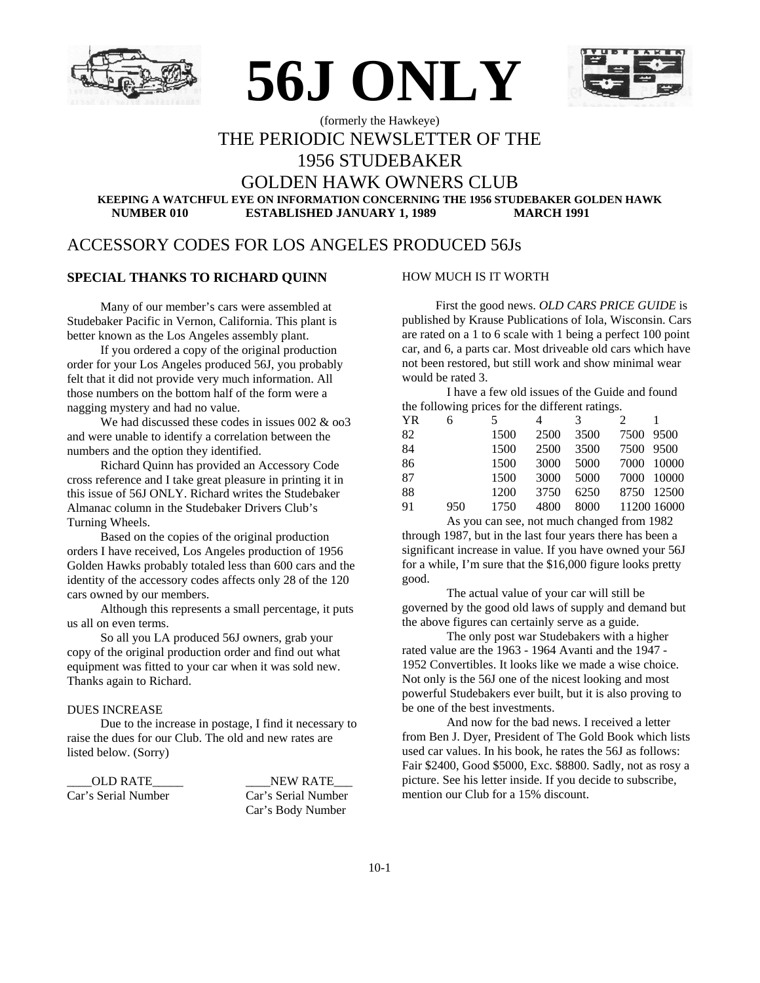





## (formerly the Hawkeye) THE PERIODIC NEWSLETTER OF THE

## 1956 STUDEBAKER

## GOLDEN HAWK OWNERS CLUB

**KEEPING A WATCHFUL EYE ON INFORMATION CONCERNING THE 1956 STUDEBAKER GOLDEN HAWK NUMBER 010 ESTABLISHED JANUARY 1, 1989 MARCH 1991**

## ACCESSORY CODES FOR LOS ANGELES PRODUCED 56Js

#### **SPECIAL THANKS TO RICHARD QUINN**

Many of our member's cars were assembled at Studebaker Pacific in Vernon, California. This plant is better known as the Los Angeles assembly plant.

If you ordered a copy of the original production order for your Los Angeles produced 56J, you probably felt that it did not provide very much information. All those numbers on the bottom half of the form were a nagging mystery and had no value.

We had discussed these codes in issues 002 & oo3 and were unable to identify a correlation between the numbers and the option they identified.

Richard Quinn has provided an Accessory Code cross reference and I take great pleasure in printing it in this issue of 56J ONLY. Richard writes the Studebaker Almanac column in the Studebaker Drivers Club's Turning Wheels.

Based on the copies of the original production orders I have received, Los Angeles production of 1956 Golden Hawks probably totaled less than 600 cars and the identity of the accessory codes affects only 28 of the 120 cars owned by our members.

Although this represents a small percentage, it puts us all on even terms.

So all you LA produced 56J owners, grab your copy of the original production order and find out what equipment was fitted to your car when it was sold new. Thanks again to Richard.

#### DUES INCREASE

Due to the increase in postage, I find it necessary to raise the dues for our Club. The old and new rates are listed below. (Sorry)

\_\_\_\_OLD RATE\_\_\_\_\_ \_\_\_\_NEW RATE\_\_\_ Car's Serial Number Car's Serial Number

Car's Body Number

#### HOW MUCH IS IT WORTH

First the good news. *OLD CARS PRICE GUIDE* is published by Krause Publications of Iola, Wisconsin. Cars are rated on a 1 to 6 scale with 1 being a perfect 100 point car, and 6, a parts car. Most driveable old cars which have not been restored, but still work and show minimal wear would be rated 3.

I have a few old issues of the Guide and found the following prices for the different ratings.

| YR | - 6 | 5 <sup>5</sup> | 4    | $\overline{\mathbf{3}}$ | $\overline{2}$ | $\blacksquare$ |
|----|-----|----------------|------|-------------------------|----------------|----------------|
| 82 |     | 1500           | 2500 | 3500                    |                | 7500 9500      |
| 84 |     | 1500           | 2500 | 3500                    |                | 7500 9500      |
| 86 |     | 1500           | 3000 | 5000                    |                | 7000 10000     |
| 87 |     | 1500           | 3000 | 5000                    |                | 7000 10000     |
| 88 |     | 1200           | 3750 | 6250                    |                | 8750 12500     |
| 91 | 950 | 1750           | 4800 | 8000                    |                | 11200 16000    |
|    |     |                |      |                         |                |                |

As you can see, not much changed from 1982 through 1987, but in the last four years there has been a significant increase in value. If you have owned your 56J for a while, I'm sure that the \$16,000 figure looks pretty

good. The actual value of your car will still be governed by the good old laws of supply and demand but the above figures can certainly serve as a guide.

The only post war Studebakers with a higher rated value are the 1963 - 1964 Avanti and the 1947 - 1952 Convertibles. It looks like we made a wise choice. Not only is the 56J one of the nicest looking and most powerful Studebakers ever built, but it is also proving to be one of the best investments.

And now for the bad news. I received a letter from Ben J. Dyer, President of The Gold Book which lists used car values. In his book, he rates the 56J as follows: Fair \$2400, Good \$5000, Exc. \$8800. Sadly, not as rosy a picture. See his letter inside. If you decide to subscribe, mention our Club for a 15% discount.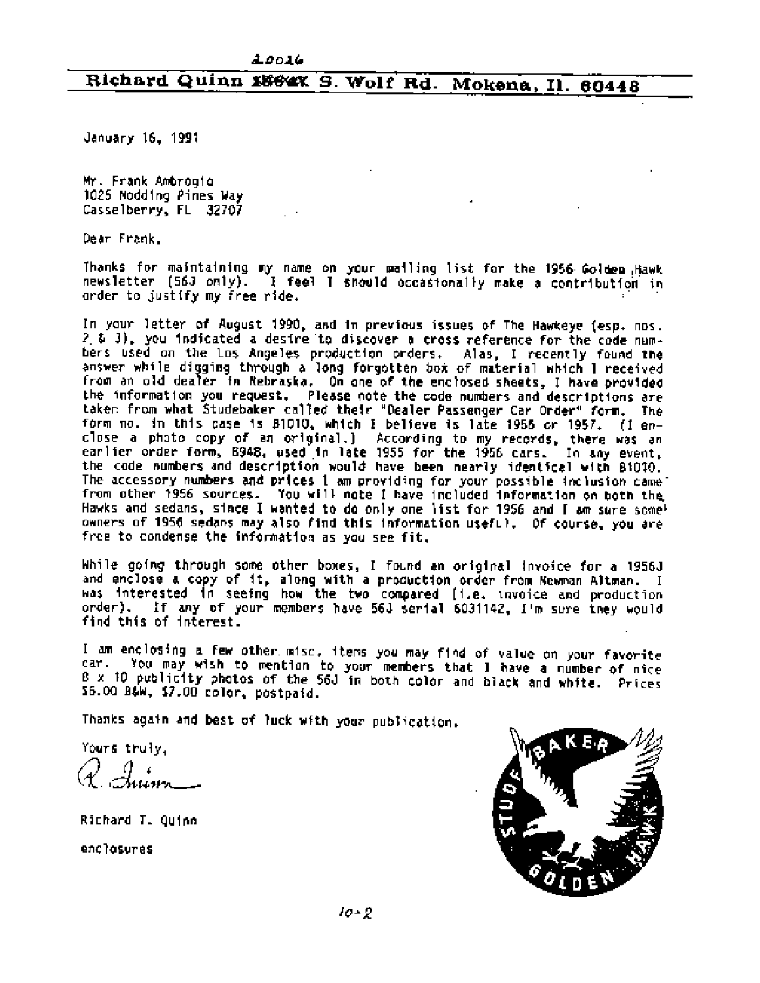#### 20016

#### Richard Quinn 1864X S. Wolf Rd. Mokena, Il. 60448

January 16, 1991

Mr. Frank Ambrogio 1025 Nodding Pines Way Casselberry, FL 32707

Dear Frank,

Thanks for maintaining my name on your mailing list for the 1956 Golden Hawk newsletter (56J only). I feel I should occasionally make a contribution in order to justify my free ride.

In your letter of August 1990, and in previous issues of The Hawkeye (esp. nos. 2 & 3), you indicated a desire to discover a cross reference for the code numbers used on the Los Angeles production orders. Alas, I recently found the answer while digging through a long forgotten box of material which I received from an old dealer in Nebraska. On one of the enclosed sheets, I have provided the information you request. Please note the code numbers and descriptions are taken from what Studebaker called their "Dealer Passenger Car Order" form. The form no. in this case is B1010, which I believe is late 1956 or 1957. (I enclose a photo copy of an original.) According to my records, there was an earlier order form, B948, used in late 1955 for the 1956 cars. In any event, the code numbers and description would have been nearly identical with 81010. The accessory numbers and prices 1 am providing for your possible inclusion came from other 1956 sources. You will note I have included information on both the Hawks and sedans, since I wanted to do only one list for 1956 and [ am sure some) owners of 1956 sedans may also find this information useful. Of course, you are free to condense the information as you see fit.

While going through some other boxes, I found an original invoice for a 1956J and enclose a copy of it, along with a production order from Newman Altman. I was interested in seeing how the two compared (i.e. invoice and production order). If any of your members have 56J serial 6031142. I'm sure they would find this of interest.

I am enclosing a few other misc. items you may find of value on your favorite car. You may wish to mention to your members that I have a number of nice B x 10 publicity photos of the 56J in both color and black and white. Prices \$6.00 B&W, \$7.00 color, postpaid.

Thanks again and best of luck with your publication.

Yours truly,

Richard T. Quinn

enclosures

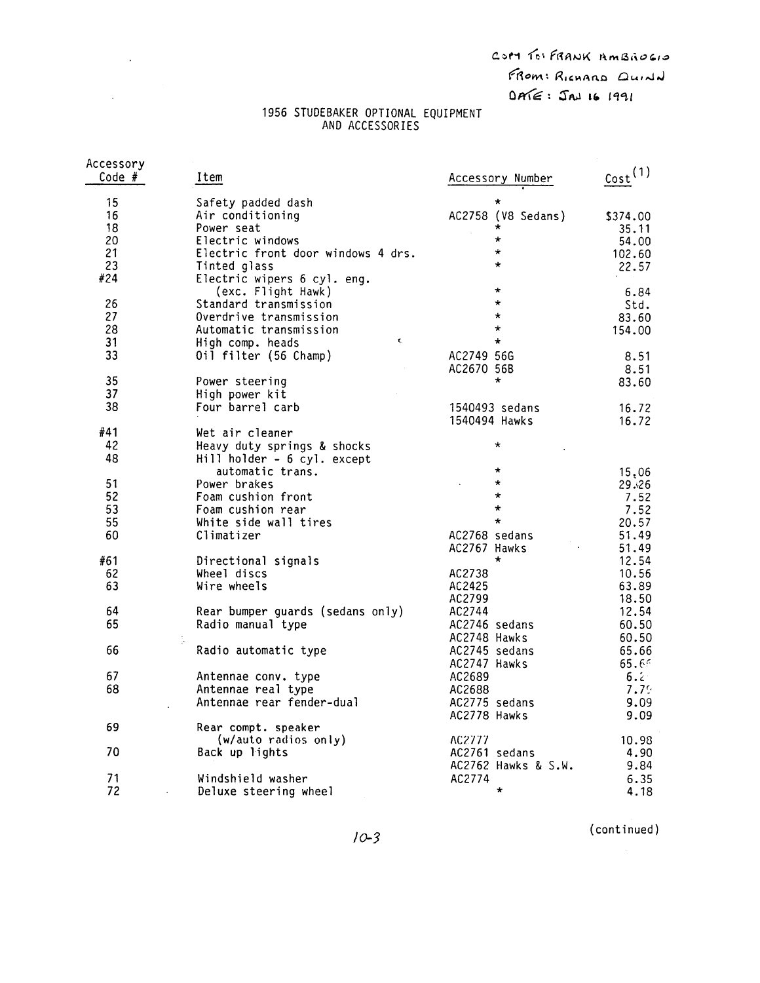COM TO FRANK AMBROGIO FROM: RICHARD QUINN  $DME: SM161991$ 

# 1956 STUDEBAKER OPTIONAL EQUIPMENT<br>AND ACCESSORIES

 $\mathcal{L}(\mathcal{A})$  and  $\mathcal{L}(\mathcal{A})$ 

 $\mathcal{L}(\mathcal{A})$  and  $\mathcal{L}(\mathcal{A})$ 

| Accessory<br>$Code$ # | Item                                              | Accessory Number        | Cost <sup>(1)</sup> |
|-----------------------|---------------------------------------------------|-------------------------|---------------------|
| 15                    | Safety padded dash                                | $^\star$                |                     |
| 16                    | Air conditioning                                  | AC2758 (V8 Sedans)      | \$374.00            |
| 18                    | Power seat                                        |                         | 35.11               |
| 20                    | Electric windows                                  | $\star$                 | 54.00               |
| 21                    | Electric front door windows 4 drs.                | $\star$                 | 102.60              |
| 23                    | Tinted glass                                      | $\star$                 | 22.57               |
| #24                   | Electric wipers 6 cyl. eng.<br>(exc. Flight Hawk) | $\star$                 | 6.84                |
| 26                    | Standard transmission                             | $\star$                 | Std.                |
| 27                    | Overdrive transmission                            | $\star$                 | 83.60               |
| 28                    | Automatic transmission                            | $\star$                 | 154.00              |
| 31                    | $\mathbf{f}_\mathrm{c}$<br>High comp. heads       | $\star$                 |                     |
| 33                    | Oil filter (56 Champ)                             | AC2749 56G              | 8.51                |
|                       |                                                   | AC2670 56B              | 8.51                |
| 35                    | Power steering                                    | $\star$                 | 83.60               |
| 37                    | High power kit                                    |                         |                     |
| 38                    | Four barrel carb                                  | 1540493 sedans          | 16.72               |
|                       |                                                   | 1540494 Hawks           | 16.72               |
| #41                   | Wet air cleaner                                   |                         |                     |
| 42                    | Heavy duty springs & shocks                       | $^\star$                |                     |
| 48                    | Hill holder - 6 cyl. except                       |                         |                     |
|                       | automatic trans.                                  | $\star$                 | 15,06               |
| 51                    | Power brakes                                      | $\star$<br>$\mathbf{v}$ | 29.26               |
| 52                    | Foam cushion front                                | $\star$                 | 7.52                |
| 53                    | Foam cushion rear                                 | $\star$                 | 7.52                |
| 55                    | White side wall tires                             | $\star$                 | 20.57               |
| 60                    | Climatizer                                        | AC2768 sedans           | 51.49               |
|                       |                                                   | AC2767 Hawks            | 51.49               |
| #61                   | Directional signals                               | $^\star$                | 12.54               |
| 62                    | Wheel discs                                       | AC2738                  | 10.56               |
| 63                    | Wire wheels                                       | AC2425                  | 63.89               |
|                       |                                                   | AC2799                  | 18.50               |
| 64                    | Rear bumper guards (sedans only)                  | AC2744                  | 12.54               |
| 65                    |                                                   |                         |                     |
|                       | Radio manual type                                 | AC2746 sedans           | 60.50               |
|                       |                                                   | AC2748 Hawks            | 60.50               |
| 66                    | Radio automatic type                              | AC2745 sedans           | 65.66               |
|                       |                                                   | AC2747 Hawks            | 65.65               |
| 67                    | Antennae conv. type                               | AC2689                  | 6.2                 |
| 68                    | Antennae real type                                | AC2688                  | 7.79                |
|                       | Antennae rear fender-dual                         | AC2775 sedans           | 9.09                |
|                       |                                                   | AC2778 Hawks            | 9.09                |
| 69                    | Rear compt. speaker                               |                         |                     |
|                       | (w/auto radios only)                              | AC2777                  | 10.98               |
| 70                    | Back up lights                                    | AC2761 sedans           | 4.90                |
|                       |                                                   | AC2762 Hawks & S.W.     | 9.84                |
| 71                    | Windshield washer                                 | AC2774                  | 6.35                |
| 72                    | Deluxe steering wheel                             | $\star$                 | 4.18                |

(continued)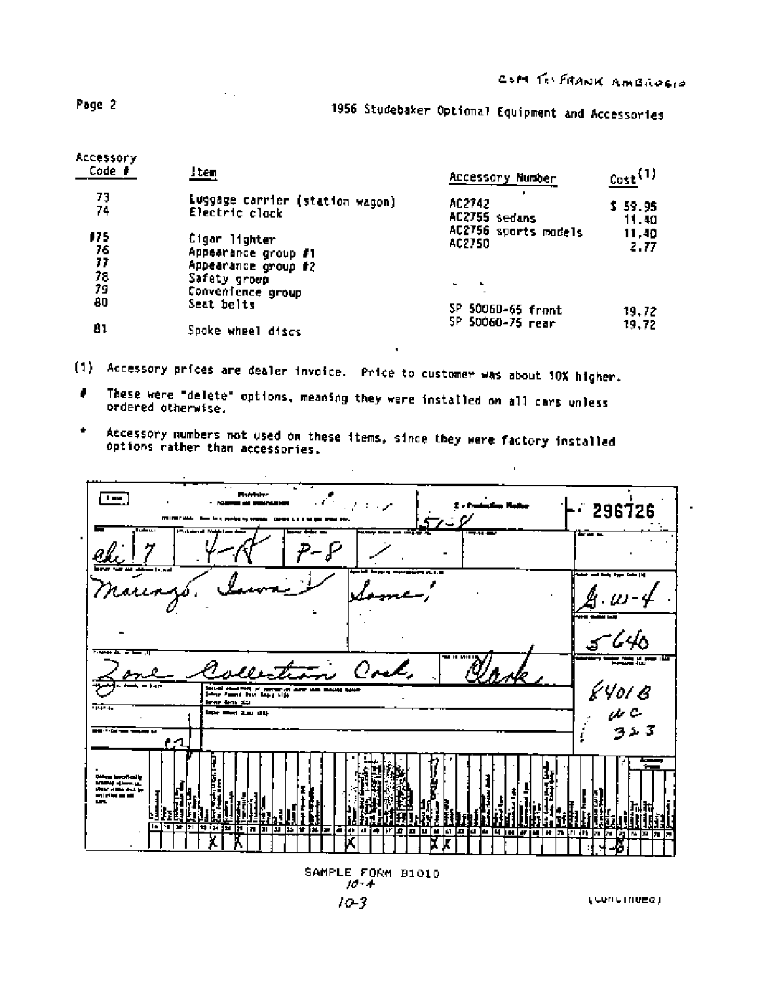## 1956 Studebaker Optional Equipment and Accessories

| RCCESSOry<br>Code # | ltem                                                        | Accessory Number                      | $\cot^{(1)}$     |
|---------------------|-------------------------------------------------------------|---------------------------------------|------------------|
| 73<br>74            | Luggage carrier (station wagon)<br>Electric clock           | AC2742<br>AC2755 sedans               | \$59.95<br>11.40 |
| 175<br>76<br>77     | Cigar lighter<br>Appearance group #1<br>Appearance group #2 | AC2756 sports models<br>AC2750        | 11,40<br>2.77    |
| 78<br>79<br>80      | Safety group<br>Convenience group<br>Seat belts             | ٠                                     |                  |
| 81                  | Spoke wheel discs                                           | SP 50060-65 front<br>SP 50060-75 rear | 19.72<br>19.72   |

Page 2

- (1) Accessory prices are dealer invoice. Price to customer was about 10% higher.
- These were "delete" options, meaning they were installed on all cars unless , ordered otherwise.
- Accessory numbers not used on these items, since they were factory installed options rather than accessories.



SAMPLE FORM B1010  $10 - 4$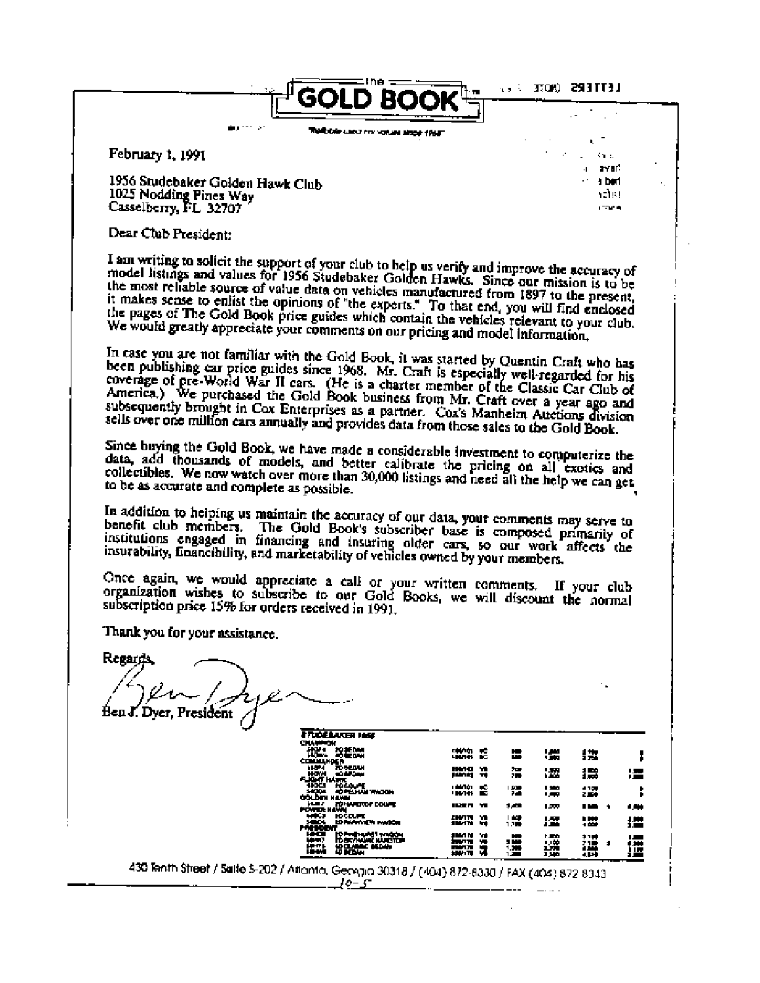$\sqrt{3}$  (  $370%$   $293$   $TT31$ 



**Thatbole used his volume since filed** 

February 1,  $1991$ 

1956 Studebaker Golden Hawk Club 1025 Nodding Pines Way Casselberry, FL 32707

Dear Club President:

I am writing to solicit the support of your club to help us verify and improve the accuracy of model listings and values for 1956 Studebaker Golden Hawks. Since our mission is to be the most reliable source of value data on vehicles manufactured from 1897 to the present, it makes sense to enlist the opinions of "the experts." To that end, you will find enclosed the pages of The Gold Book price guides We would greatly appreciate your comments on our pricing and model information.

In case you are not familiar with the Gold Book, it was started by Quentin Craft who has been publishing car price guides since 1968. Mr. Craft is especially well-regarded for his coverage of pre-World War II cars. (He is a charter member of the Classic Car Club of America.) We purchased the Gold Book business from Mr. Craft over a year ago and subsequently brought in Cox Enterprises as a partner. Cox's Manheim Auctions division sells over one million cars annually and provides data from those sales to the Gold Book.

Since buying the Gold Book, we have made a considerable investment to computerize the data, add thousands of models, and better calibrate the pricing on all exotics and collectibles. We now watch over more than 30,000 listings and need all the help we can get to be as accurate and complete as possible.

In addition to helping us maintain the accuracy of our data, your comments may serve to benefit club members. The Gold Book's subscriber base is composed primarily of institutions engaged in financing and insuring older cars, so our work affects the insurability, financibility, and marketability of vehicles owned by your members.

Once again, we would appreciate a call or your written comments. If your club<br>organization wishes to subscribe to our Gold Books, we will discount the normal subscription price 15% for orders received in 1991.

Thank you for your assistance.

Regards Dver, President **ETLOGRAPHEN 1856** ÎX¥M an a ۰. Ш 搤 и mg p 漂  $\mathbf{r}$ 擃 ₩ i Malén<br>I Malén 體 墂  $\mathbf{r}$ ÷ **URTICLE COUNTY** w  $1.45$ 1.999 **TM** 4,800 42. S 謤 爧 18 搵 in 1999.<br>September мŅ 讄 諜 僵 430 Tenth Street / Sailte 5-202 / Atlanta, Georgia 30318 / (404) 872-8330 / FAX (404) 872-8343 <u> 10-5 -</u>

Sa s avar! 4 bed achst **LOOK A**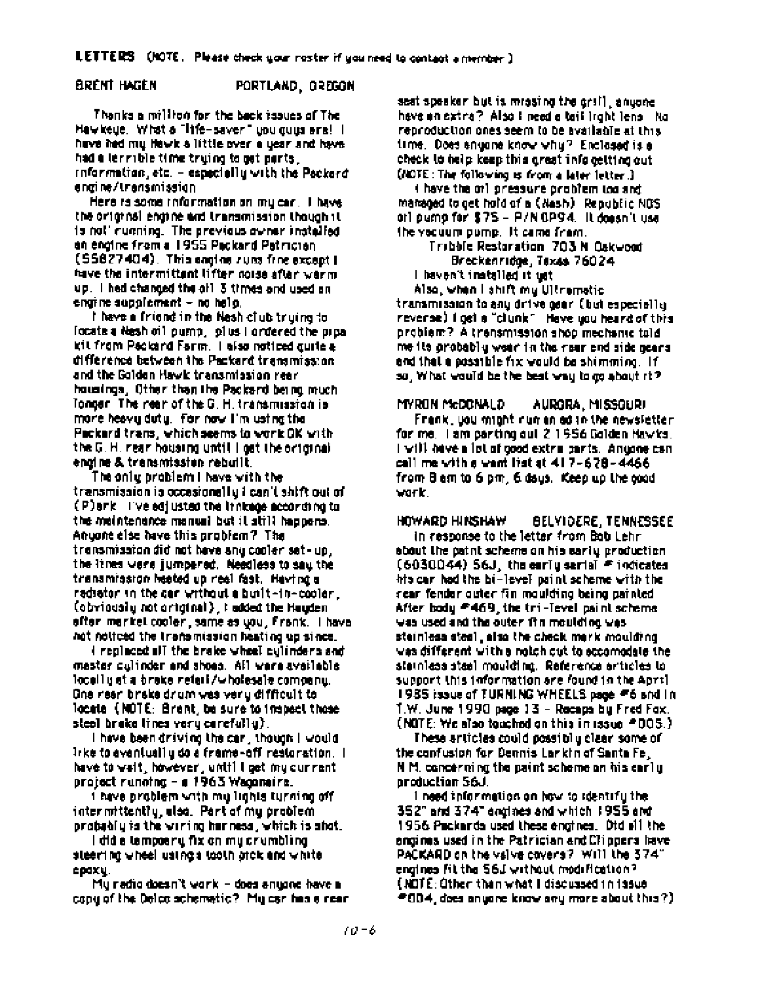#### Brent Hagen

PORTLAND, OREGON

Thanks a million for the back issues of The Hewkege, What a "life-saver" you quite anal. It have had my Hawk & little over a year and have. had a termible time truing to get parts ; information, etc.  $-$  especially with the Packard. engine/transmission

Here is some information on my car. I have the original engine and transmission though it. is not cunning. The previous owner installed an engine from a 1955 Packard Patrician (55627404). This eagles runs fine except I tuve the intermittant lifter coise after warm. up. I hed changed the oil 3 times and used an engine supplement - no help,

I have a friend in the Nesh club trying to focate a Nesh oil pump, plus I ordered the pipakit from Packard Farm. I also noticed quite a difference between the Packard transmission. and the Golden Hawk transmission rear housings, Other than the Packard being much Tonger. The rear of the G. H. transmission is: more heavy duty. For now I'm using the Packard trans, which seems to work QK with the G. H. near housing until I get the original engine & trensmission rebuilt.

The only problem I have with the transmission is occasionally I can't shift out of (P)ank. Tive adjusted the Irnkege according to the meintenance manual but it still happens. Anyone else have this problem? The trensmission did not have sny cooler set- up . the lines were jumpered. Needless to say the trensmission heated up reel fast. Having a radiator in the car without a built-in-cooler. (obviously not original), I added the Hayden efter merkel cooler, same as you, Frank. I have not noticed the transmission heating up since.

i regisced all the brake wheel culinders and master culinder and shoes. All ware available. locality at a brake retail/wholesale company. One rear brake drum was very difficult to locate (NOTE: Brent, be sure to inspect those steel brake tines very carefully).

I have been driving the car, though I would irke to eveniuelly do a frame-off restoration. I have to wait, however, until I get my current project runotne - a 1963 Wagamaira.

t have problem with my lights tyrning off. intermittently, also. Part of my problem. probabily is the wiring harness, which is shot.

i dide tempoery fix on my crumbling. steering wheel using a tooth orck and white epoxy.

My redio doesn't work – does anyone have a copy of the Delco schematic? My can has a near seat speaker but is mrasing the graff, anyone have an extra? Also I need a tail light lens No. reproduction ones seem to be available at this. time. Does enwore know why? Enclosed is a check to help keep this great info getting out. (NOTE: The following is from a later letter.)

t have the orl pressure problem too and managed to get hold of a (Nash) Republic NOS ori pump for \$75 - P/NOP94. It doesn't use the vecuum pump. It came from.

Tribble Restaration 703 N Oakwood Breckenridge, Texas 76024

l haven't installad it ust

Also, when I shift my Ultrematic. transmission to any drive gear (but especially) reverse) I get a "clunk" Have you heard of this problem? A transmission shop mechanic tald me its probably wear in the rear end side pears. and that a possible fix would be shimming. If so, What would be the best way to go about rt?

MYRON McDONALD AURORA, MISSOURI

Frank, you might run an ad in the newsletter. for me. I am parting out 2 1956 Golden Hawks. i will have a lot of good extra parts. Angone can call me with a want list at 417-678-4466 from B em to 6 pm, 6 days. Keep up the cood work.

HOWARD HINSHAW **BELYIDERE, TENNESSEE** in response to the letter from Bob Lehr shout the paint scheme on his sariy production. (6030044) S6J, the early serial # indicates his car, had the bi-level paint scheme with the sear fender outer fin moulding being painted. After body #469, the tri-Tevel paint scheme. was used and the outer film moulding was steinless steel, also the check mark moulding. was different with a notch cut to accomodate the steinlass staal moulding. Reference enticles to support this information are found in the Aprti-1985 issue of TURNING WHEELS page ≝6 and in 1.W. June 1990 page 13 - Recapa by Fred Fox.

(NOTE: We also touched on this in issue #005.) These anticles could possibly clear some of the confusion for Dennis Lankin of Santa Fe. N M, concerning the paint scheme on his carly. aroduction 56J.

I need information on how to identify the 352" and 374" anglace and which 1955 and 1956 Packarda used these engines. Old all the engines used in the Patrician and Clippers have PACKARD on the valve covers? Will the 374" engines fit the S6J without modification? ( NOTE: Other than what I discussed in Issue #004, does anyone know any more about this?).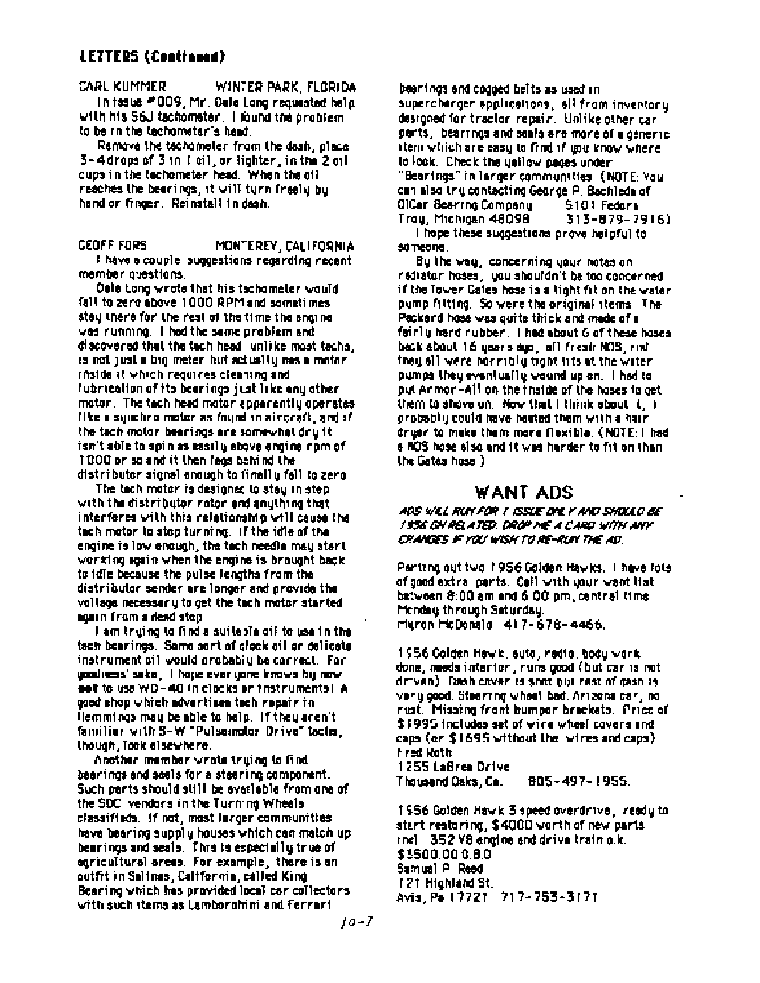### **LETTERS (Continued)**

CARL KUMMER WINTER PARK, FLORIDA In faste #009, Mr. Dele Long requested help. with his S6J tachometer. I found the problem to be in the techometer's head.

Remove the tachomater from the dash, place, 3-4drops of 3 in 1 cil. or lighter, in the 2 cil cups in the techometer head. When the oil reaches the bearings, it will turn freely by hand or finger. Reinstall in dash.

**CEOFF FORS** MONTEREY, CALIFORNIA I have a couple suggestions regarding recent member questions.

Dele Long wrote that his tachometer would fall to zero above 1000 RPM and sometimes stey there for the real of the time the snaine. was running. I had the same problem and discovered that the tach head, unlike most tachs. is not just a big meter but actually has a motor. rinside it which requires cleaning and fubrication of its bearings just like any other. motor. The tach head motor apparently operates like a sunchro motor as found in aircraft, and if the tach motor bearings are somewhat druit. isn't able to spin as easily above angine nom of 1000 or so and it then fegs behind the distributor signal anough to finally fall to zero.

The tach motor is designed to stay in step. with the distributor rator and anything that interferes with this relationship will cause the tach motor to stop turning. If the idle of the engine is low enough, the toch needla may start. working spain when the engine is brought back. to idle because the pulse lengths from the distributor sender are longer and provide the vollage necessary to get the tach motor started eguin from a dead stop.

I am truing to find a suitable oil to use in the tach bearings. Some sort of clock oil or delicate instrument oil would probably be conrect. For goodness' sake, il hope ever yone knows by now. set to use WD-40 in clocks or instruments! A good shop which advertises tach repair in. Hemmings may be able to halp. If they aren't familier with S-W "Pulsemotor Drive" tacte, though, Took elsewhere.

Another mamber wrote truing to find. bearings and scals for a stearing component. Such parts should still be everleble from are of the SDC, vendors in the Turning Wheels classifieds. If not, most larger communities have bearing supply houses which can match up. bearings and seals. This is especially true of agricultural areas. For example, there is an outfit in Salinas, California, called Kind Bearing which has provided local car collectors. with such stems as Lamborghimi and Ferrari

bearings and cogged beits as used in supercharger applications, all from inventory designed for tractor repair. Unlike other car cents, bearings and seals are more of a generic. item which are easy to find if you know where to look. Check the usilow pages under "Bearings" in larger communities (NOTE: You can also try contacting George P. Bachleda of OICar Searing Company 5101 Federa Troy, Michigan 48098  $313 - 879 - 7916$ 

I hope these suggestions prove heigful to someone.

By the way, concerning your notasion. rediator hoses, you shouldn't be too concerned. if the Tower Cales hose is a light fit on the water. pymp filting. So were the original items. The Peckerd hose was quite thick and made of a fairly hard rubber. I had about 6 of these hoses. back about 16 years ago, all fresh NOS, and they all were horribly tight fits at the water. pumps they eventually wound up on. I had to put Armor-All on the friside of the hoses to get. them to shove on. Now that I think shout it. I probably could have heated them with a hair. druar to make them more flexible. (NOTE: I had e NOS hose also and it was harder to fit on than . the Gates hose )

## **WANT ADS**

#### ADS WEL RUN FOR T ISSUE DIE Y AND SHOULD BE 1956 DH RELATED, DROP ME A CARD WITH ANY CHANGES IF YOU WISH TO RE-RUN THE AD.

Parting out two 1956 Golden Hawles, I have fole of good extra parts. Cell with your want list between 8:00 am and 6.00 pm, central time Monday through Seturday. Muron McDonald 417-678-4466.

1956 Colden Hewis, suto, nadio, body work. done, meeds interior, runs good (but car is not driven). Dash cover is shot but rest of dash is very good. Stearing wheel bad. Arizons car, no rust. Missing front bumper brackets. Price of \$1995 includes set of wire wheel covers and caps (or \$1695 without the wires and caps). Fred Roth 1255 LaBrea Drive

Thousand Oaks, Ca. 805-497-1955.

1956 Golden Hawk 3 speed overdrive, iready to start restoring, \$4000 vorth of new parts. rnel 352 V8 engine and drive train o.k. \$3500,000,00 Samuel P. Reed 121 Highland St. Avis, Pa 17721 717-753-3171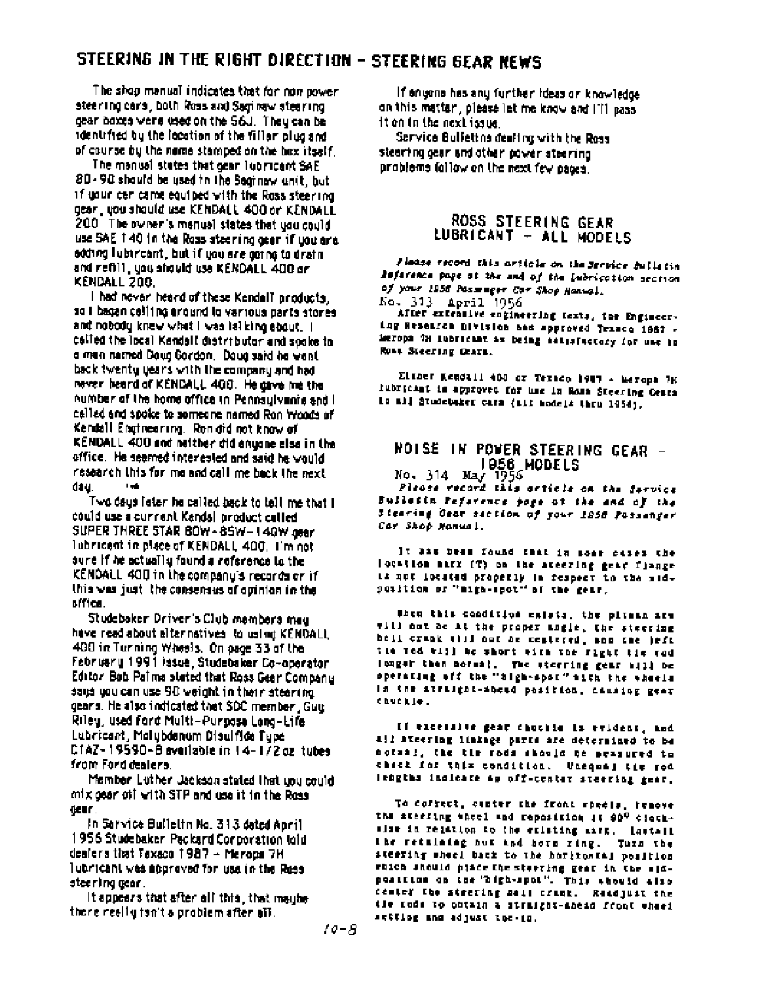## STEERING IN THE RIGHT DIRECTION - STEERING GEAR NEWS

The shop manual indicates that for non power steering cars, both Ross and Saginaw stearing. gear boxes were used on the S6J. They can be identified by the location of the filler plug and of course by the name stamped on the box itself.

The manual states that ocan lubricant SAE 80-90 should be used to the Seginaw anit, but if your car came equiped with the Ross steering gear, you should use KENDALL 400 or KENDALL. 200 The owner's menual states that you could use SAE 140 in the Ross steering gear if you are. soching liubiricant, but if you are going to drain. and refill, you should use KENDALL 400 or KENDALL 200.

i had never heard of these Kendali products. so I bagan calling around to various parts stores and nobody knew what I was laiking about. I ceiled the local Kandell distributor and socke to e man named Doug Gordon. Doug said he went back twenty years with the company and had never heard of KENDALL 400. He cave me the number of the home office in Pennsylvania and I called and spoke to someone named Ron Woods of Kendall Engineering. Ron did not know of KENDALL 400 and neither did engane also in the office. He seemed interested and said he would research this for me and call me back the next day. هي ر

Two days later ha called back to tall me that I could use a current Kendal product called SUPER THREE STAR BOW - 85W - 140W aren lubricent in place of KENDALL 400. I'm not oure if he actually found a reference to the KENDALL 400 in the company's records or if this was just, the consensus of cointan in the affice.

Studebaker Driver's Club members meu have read about alternatives to using KENDALL 400 in Turning Wheels. On page 33 of the Februaru 1991 issue, Studebaker Co-operator Editor Bob Palma stated that Ross Geer Company said you can use 90 weight in their stearing. gears. He also indicated that SDC member , Guu Riley, used ford Multi-Purpose Long-Life. Lubricant, Molybdenum Disulfide Type CTAZ-19590-B available in 14-1/2 oz tubes from Ford dealers.

Mamber Luther Jackson stated that you could mix gear off with STP and use it in the Ross deur.

In Service Bullettn No. 313 dated April. 1956 Studebaker, Packard Corporation told dealers that Taxaco 1987 - Meropa 7H lubricant was approved for use in the Ross. steering gear.

It appears that after all this, that maybe there really fan't a problem after all.

if anyona has any further ideas or knowledge. on this matter, please let me know and ITI pass. it on in the next issue.

Service Bullettns dealtng with the Ross stearting gear and other power steering problems follow on the next few pages.

#### ROSS STEERING GEAR LUBRICANT - ALL MODELS

Floase record this article on the Service Sullatin lefarence page of the and of the indrication section of your 1958 Possemeer Car Shop Hannal. No. 313 April 1956

After extensive engineering texts, for Engineering Research Division and approved Tranco 1987 -Seropa 7H Iubricant as being selectory for use in ROLL Steering Cents.

Elther Kendall 400 or Texaco 1987 - Meropa 7K fubricant is approved for the in Roma Steering Cental is all Studebaker cars (all models thru 1956).

## **NOISE IN POWER STEERING GEAR -**1956 MODELS<br>No. 314 May 1956 MODELS

Please record this orticle on the fervice Bulletin reference jors of the and of the Sicaring Ocar saction of your 1858 Fassenger Car Shop Monual.

It has been found that in soar cases the location marr (T) on the attering gear flange is not located properly in fespect to the midposition or "migh-spot" of the gear.

when this condition exists, the pitann are vill not be at the proper angle, the steering bell creak that out as contered, and the jeft tie rod will be short with the sight tie rad longer than normal. The steering gear mill be operating off the "bigh-spot" sith the wheels In the attaignt-aboud position, causing gear chuckle.

If easerning gear chuchin is evident, and all atesting linkage parts are determined to be notabl, the tim rods should be peasured to check for this condition. Unequal tim rod lengths inclease as off-center steering gear.

To coffect, cunter the front specia, fraove the attesing wheel and reposition it 90° clocksize in relation to the existing mark. Lastall the retaining but and horn ring. Tuzz the steering wheel back to the horizontal position which should place the steering gear in the sidnoaltime on the "high-spot". This should also cemter the strering mail crank. Readjust the tle rods to obtain a straight-anesd front wheel setting and adjust to: in.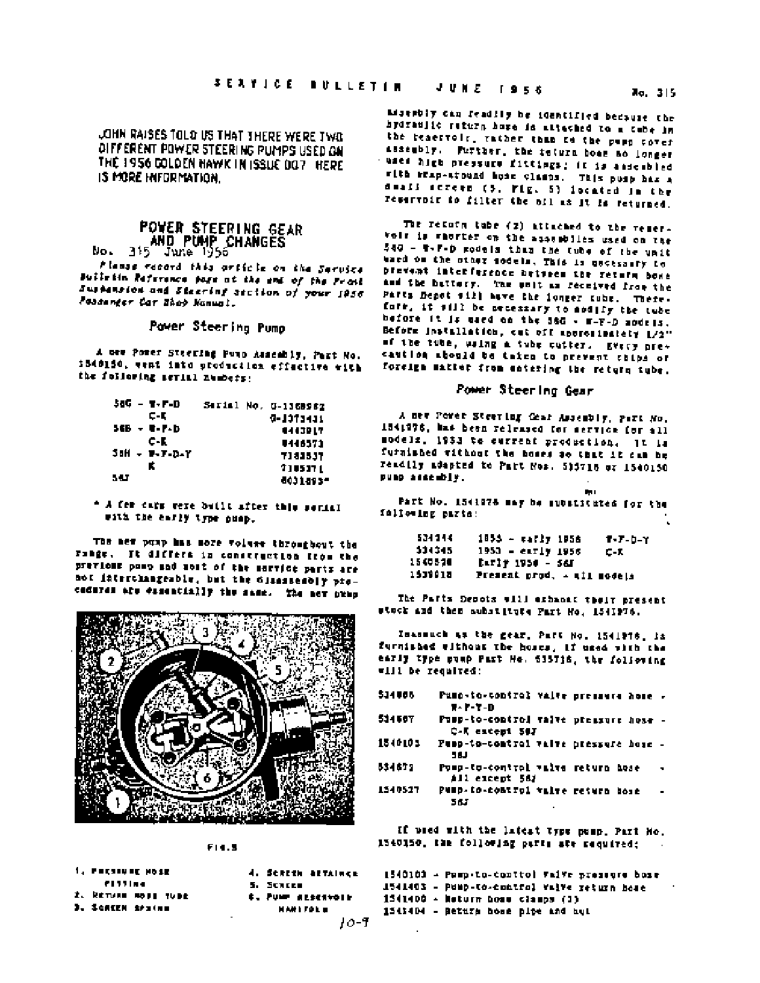JOHN RAISES TOLD US THAT THERE WERE TWO DIFFERENT POWER STEERING PUMPS USED ON THE 1956 GOLDEN HAWK IN ISSUE DO7 HERE IS MORE INFORMATION.

## POWER STEERING GEAR AND PUMP CHANGES

No.

Flanse racord this orticle on the Service Suffetin Reference page of the end of the Frant Justansion and Steering accilon of your 1956 roodenger Car Zhop Nanual.

Power Steering Pump

A over Power Storning Punp Assembly, Part No. 1540150, went into production effective with the following serial numbers:

|      | 50G - T.F.D   |  | Serial No. U-1369982 |
|------|---------------|--|----------------------|
|      | c-E           |  | 0-1313431            |
|      | $56B - 1.7.5$ |  | <b>0413PLT</b>       |
|      | C-E           |  | 8446573              |
|      | 38H - W-F-D-Y |  | <b>TI81537</b>       |
|      | ĸ             |  | 7105171              |
| - 50 |               |  | 0031893-             |

\* A fer cars were built after this section with the easily type pump.

The new pump has more volume throughout the range. It differs in construction from the previous pamp and nost of the service parts are not interchangeable, but the disassesbly procoderes are essentially the same. The now pump



 $F(4.5)$ 

| I, FERSINIK HOSE    | 4. SCREEN AETAINCE       |
|---------------------|--------------------------|
| el 11 in a          | 5. SCREEK                |
| 2. RETURN MODE TUDE | <b>S. PUMP ALSERVOIR</b> |
| ), SCACEN SPITAN    | <b>MANIFOLD</b>          |
|                     | $\,$<br>10-T             |

misently can readily be identified because the hydraulic return home in alteched to a tebe in the reservoir, rather than in the pupp cover assembly. Further, the feturn home no longer uses high pressure fittings; it is assembled with respectional home clasps. This pusp has a dwall screen (5, Pig. 5) located in the reservair to filter the ofl as it is returned.

The return tube (2) attached to the reser. voir is shorter on the assemblies used on the 580 - W-F-D models than the tube of the unit ward on the other models. This is uschsamfy to prevent interfesence between the seturn bone and the hattery. The unit as received from the Parts Bepot #121 have the longer tube. Therefore, it will be setessary to modify the tube before it is used on the 36G - W-F-D models. Before installation, cut off approximately 1/2" of the tube, waing a tube cutter. Every precaution abould be taken to prevent thips or foreign matter from entering the return tube.

#### Power Steering Gear

A mew Power Steering Gear Assembly, Part No. 1541976, has been released for service for all models. 1933 to current production. It is furnished without the hoses so that it can be readily adapted to Part Nos. 535718 or 1540150 punp assembly.

Part No. 1541978 may be substituted for the fallowing parts:

| 534144  | $1853 - 44737 1956$         | $T - T - D - Y$ |
|---------|-----------------------------|-----------------|
| 534345  | $1953 - \text{early } 1956$ | c-x             |
| 1540570 | Early 1950 - S&I            |                 |
| 1539018 | Present prod, - ull models  |                 |

The Parts Depots will exhant their present stock and then aubstitute Part Ho, 1541976.

1

Inannuch as the gear, Part No. 1541976, in furnished without the hoses, if used with the early type gump Part Mo. 535716, the following will be required:

| \$14065 | Pumo-to-control valte pressure hose .<br>$T - T - D$     |
|---------|----------------------------------------------------------|
| 514567  | Pusp-to-control valve pressure hose -<br>C-K except 50J  |
| 1540101 | Pusp-to-control valve pressure hose -<br>1N .            |
| 534677  | Pump-to-control valve return hose<br>٠<br>All eleept 562 |
| 1540527 | Pump-to-control valve return bose<br>565                 |
|         | If weed with the latest type pump, Part Mo.              |
|         | 1540150, the following parts aft required;               |

1540103 - Pump-to-conttol ValVe pressure bose 1541403 - Pump-to-control valve return home  $15(1400 -$  Meturn hose clasps (2) 1543404 - Beture hose pipe and hut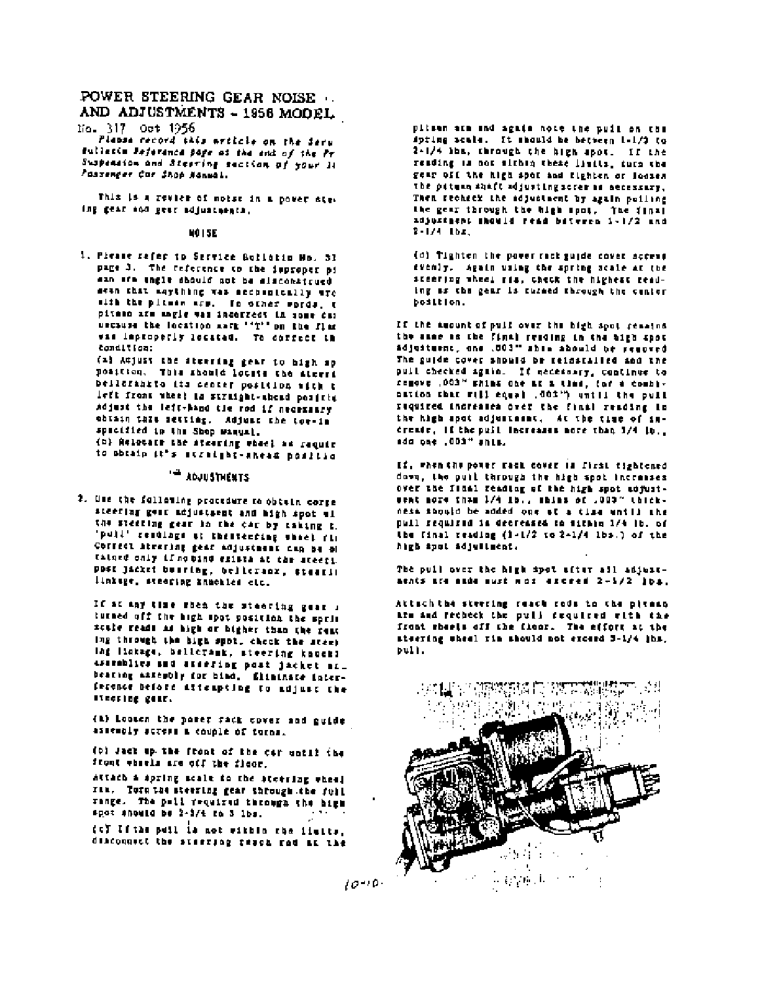#### POWER STEERING GEAR NOISE AND ADJUSTMENTS - 1956 MODEL

lio. 317 Oct 1956

Planse record this article on the Seru fulletin Jeforance page at the end of the Pr Suspension and Steering section of your li Fossender Car Shop Manual.

This is a review of notes in a power siting gear and gear adjustated.

#### HÔ I SE

1. Piease refer to Service Bullotin Ho. 31 page 3. The reference to the improper of san afs ingle should not be sisconstrued sean that saything was secondically are sith the pitches are. To other words, t pitano afa ingle was incorrect in some cas **UPC3434 the location mark "T" on the flat** was improperly located. To correct in condition:

(a) Adjust the steering gear to high ap position. This should locate the steers bellorantto its center position with t left front wheel is straight-thead positiv Adjust the left-hand tie rod if accessary chtain this setting, Adjust the tor-in specified in the Shop Manual.

(b) Relocate the atesting wheel as requir to obtain it's straight-shead positio

#### **ADJUSTMENTS**

2. Use the following procedure to obtain corpe steering gear adjustsent and high spot all the steering gear in the car by taking t. 'pull' resulage at thestending wheel fill Correct steering gear adjustment can be of tature only if no bind exists at the steers. post jacket busring, belleranx, steeri: linkage, steering knuchles etc.

If at any time when the steering gear i turned off the high spot position the sprin scale reads as high or bigher than the reat Ing through the high spot, check the steel ing liskage, believank, steering knockl assemblies and accepting post jacket mail bearing assessily for bind. Sliminate interference before attempting to adjust the Heering gear.

(a) Loosen the parer rack cover and guide assembly access a couple of torns.

(b) Jack up the front of the car until the front whichs are off the floor.

Attach a spring scale to the ateering wheel ria. Torn the steering gear through the full range. The poll required through the high Apot #howld be 2-3/4 to 3 lbs.

(c) If the pull is not within the limits. diacounset the steering reach rad at the pitsen are and agate note the puit on the spring scale. It should be bettern 1-1/3 to 2-1/4 lbs, through the high spot. If the reading is not sithin these limits, turn the gear off the high spot and fighten or locaes the pituan shaft adjusting screwes necessary. Then recheck the adjustment by again pulling the gear through the high spot. The final adjustment should read between 1-1/2 and  $2 - 1/4$  1bs.

(d) Tighten the paver rack guide cover access evenly. Again using the spring scale at the steering wheel ris, check the highest reading as the gear is turned through the center position.

If the amount of pull over the high spot remains the same as the final resding in the bigh spot adjustment, one .003" ahis abould be removed The guide cover should be reinstalled and the pull checked again. If necessary, continue to frmove .003" shins one at a that, (of a comb)nation that rill equal .003") until the pull required increases over the final reading in the high apot adjustment, At the time of increate, if the pull increases note than 1/4 in... sda one .001" shis.

If, when the power rack cover is first tightened. down, the pull through the high spot increases over the final reading of the high spot soyuntwent more than 1/4 ib., shims of .000" thickness sample be added one of a time until the pull required in decreased to sithin 1/4 lb. of the final reading (1-1/2 to 2-1/4 lbs.) of the high spot adjustment.

The pull over the high spot situr all adjustments are made must wor excred 2-1/2 lbs.

Attachthe steering reach rods to the pitnes arm and recheck the pull required eith the front sheels off the floor. The effort at the steering wheel rim should not excend 3-1/4 jhs. bull.



 $10 - 10$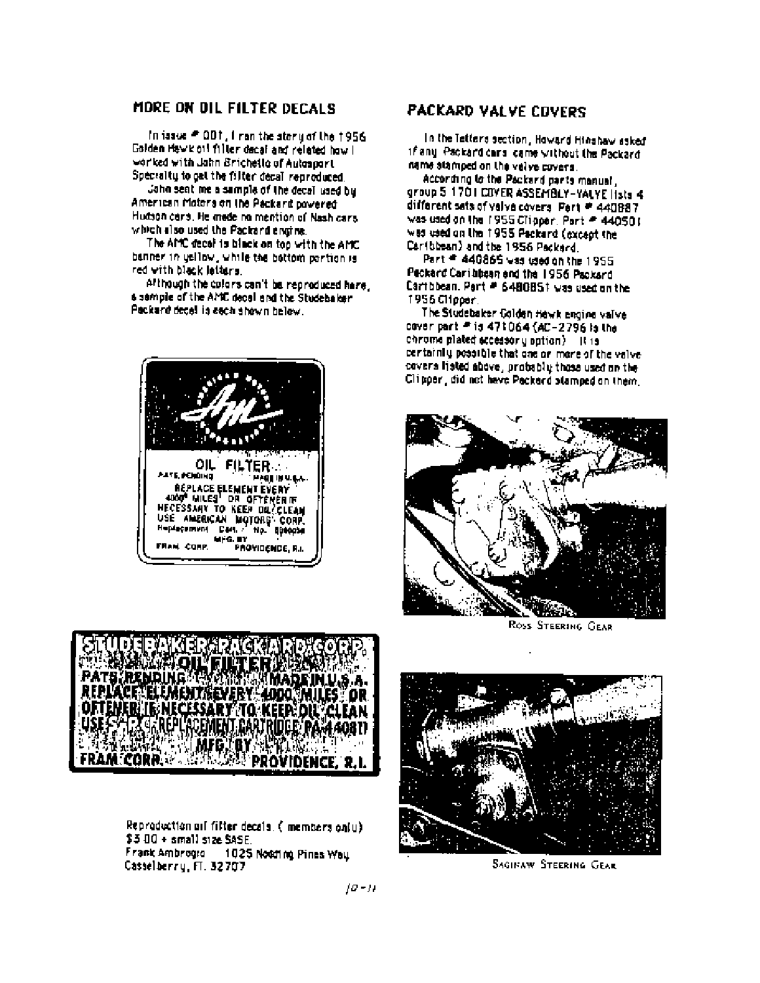#### MORE ON DIL FILTER DECALS

In issue # 001, I can the story of the 1956 Golden Hawk oil filter decal and related how I. vorked with Jahn Brichetle of Autosport Specialty to get the filter decal reproduced.

John sent me a sample of the decal used bul American Motors on the Packard powered Hudson cars. He made no mention of Nash cars. which also used the Packard engine.

The AMC decei is black on top with the AMC. banner in yellow, while the bottom partian is red with black letters.

Although the colors can't be reproduced hare, 6 sample of the AMC decal and the Studebaker. Peckard decel is each shown heliaw.



### PACKARD VALVE COVERS

In the Tetters section, Howard Hinshaw asked If any Packard cars, came without the Packard name stamped on the velve covers.

According to the Packard parts manual. group 5 1701 COVER ASSEMBLY-YALYE lists 4 different sats of valve covers. Part # 440887. was used on the 1955 Cliener. Part # 440501 was used on the 1955 Packard (except the Caribbean) and the 1956 Packard

Part = 440865 was used on the 1955 Peckard Caribbsan and the 1956 Packard Cartbbean, Pert # 6480851 was used on the 1956 Citigoen.

The Studebaker Colden Hewk engine valve cover part # is 471064 (AC-2796 is the chrome plated accessory option) (119) centainly possible that one on more of the valve covers listed above, probably those used on the Clipper, did not have Peckerd stamped on them.



ROSS STEERING GEAR



Reproduction oil fifter decals. (Imembers only) \$5.00 + small size SASE. Frank Ambrogro 1025 Notding Pines Way Casselberry, FT. 32707



**SAGINAW STEERING GEAR**